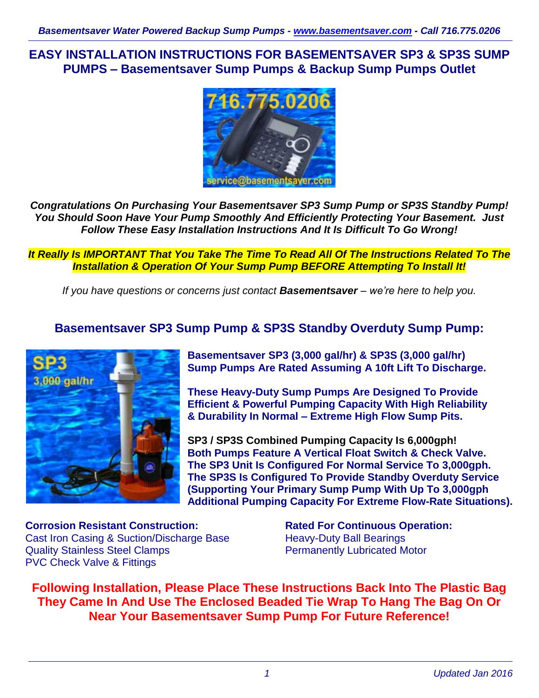**EASY INSTALLATION INSTRUCTIONS FOR BASEMENTSAVER SP3 & SP3S SUMP PUMPS – Basementsaver Sump Pumps & Backup Sump Pumps Outlet**



*Congratulations On Purchasing Your Basementsaver SP3 Sump Pump or SP3S Standby Pump! You Should Soon Have Your Pump Smoothly And Efficiently Protecting Your Basement. Just Follow These Easy Installation Instructions And It Is Difficult To Go Wrong!*

*It Really Is IMPORTANT That You Take The Time To Read All Of The Instructions Related To The Installation & Operation Of Your Sump Pump BEFORE Attempting To Install It!*

*If you have questions or concerns just contact Basementsaver – we're here to help you.*

# **Basementsaver SP3 Sump Pump & SP3S Standby Overduty Sump Pump:**



**Basementsaver SP3 (3,000 gal/hr) & SP3S (3,000 gal/hr) Sump Pumps Are Rated Assuming A 10ft Lift To Discharge.**

**These Heavy-Duty Sump Pumps Are Designed To Provide Efficient & Powerful Pumping Capacity With High Reliability & Durability In Normal – Extreme High Flow Sump Pits.**

**SP3 / SP3S Combined Pumping Capacity Is 6,000gph! Both Pumps Feature A Vertical Float Switch & Check Valve. The SP3 Unit Is Configured For Normal Service To 3,000gph. The SP3S Is Configured To Provide Standby Overduty Service (Supporting Your Primary Sump Pump With Up To 3,000gph Additional Pumping Capacity For Extreme Flow-Rate Situations).**

**Corrosion Resistant Construction:** Cast Iron Casing & Suction/Discharge Base Quality Stainless Steel Clamps PVC Check Valve & Fittings

**Rated For Continuous Operation:** Heavy-Duty Ball Bearings Permanently Lubricated Motor

**Following Installation, Please Place These Instructions Back Into The Plastic Bag They Came In And Use The Enclosed Beaded Tie Wrap To Hang The Bag On Or Near Your Basementsaver Sump Pump For Future Reference!**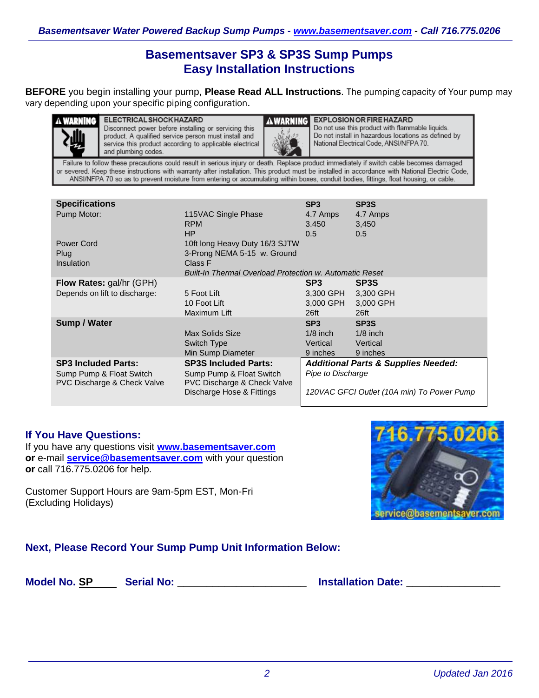# **Basementsaver SP3 & SP3S Sump Pumps Easy Installation Instructions**

**BEFORE** you begin installing your pump, **Please Read ALL Instructions**. The pumping capacity of Your pump may vary depending upon your specific piping configuration.



**A WARNING ELECTRICAL SHOCK HAZARD** Disconnect power before installing or servicing this product. A qualified service person must install and service this product according to applicable electrical and plumbing codes.



**EXPLOSION OR FIRE HAZARD** Do not use this product with flammable liquids. Do not install in hazardous locations as defined by National Electrical Code, ANSI/NFPA 70.

Failure to follow these precautions could result in serious injury or death. Replace product immediately if switch cable becomes damaged or severed. Keep these instructions with warranty after installation. This product must be installed in accordance with National Electric Code, ANSI/NFPA 70 so as to prevent moisture from entering or accumulating within boxes, conduit bodies, fittings, float housing, or cable.

| <b>Specifications</b>                                              |                                                                               | SP <sub>3</sub>          | SP <sub>3</sub> S                          |
|--------------------------------------------------------------------|-------------------------------------------------------------------------------|--------------------------|--------------------------------------------|
| Pump Motor:                                                        | 115VAC Single Phase<br><b>RPM</b><br>HP                                       | 4.7 Amps<br>3.450<br>0.5 | 4.7 Amps<br>3,450<br>0.5                   |
| Power Cord<br>Plug<br>Insulation                                   | 10ft long Heavy Duty 16/3 SJTW<br>3-Prong NEMA 5-15 w. Ground<br>Class F      |                          |                                            |
|                                                                    | <b>Built-In Thermal Overload Protection w. Automatic Reset</b>                |                          |                                            |
| Flow Rates: gal/hr (GPH)                                           |                                                                               | SP <sub>3</sub>          | SP <sub>3</sub> S                          |
| Depends on lift to discharge:                                      | 5 Foot Lift                                                                   | 3,300 GPH                | 3,300 GPH                                  |
|                                                                    | 10 Foot Lift                                                                  | 3,000 GPH                | 3,000 GPH                                  |
|                                                                    | Maximum Lift                                                                  | 26ft                     | 26 <sup>ft</sup>                           |
| Sump / Water                                                       |                                                                               | SP <sub>3</sub>          | SP <sub>3</sub> S                          |
|                                                                    | Max Solids Size                                                               | $1/8$ inch               | $1/8$ inch                                 |
|                                                                    | Switch Type                                                                   | Vertical                 | Vertical                                   |
|                                                                    | Min Sump Diameter                                                             | 9 inches                 | 9 inches                                   |
| <b>SP3 Included Parts:</b>                                         | <b>Additional Parts &amp; Supplies Needed:</b><br><b>SP3S Included Parts:</b> |                          |                                            |
| Sump Pump & Float Switch<br><b>PVC Discharge &amp; Check Valve</b> | Sump Pump & Float Switch<br><b>PVC Discharge &amp; Check Valve</b>            | Pipe to Discharge        |                                            |
|                                                                    | Discharge Hose & Fittings                                                     |                          | 120VAC GFCI Outlet (10A min) To Power Pump |

## **If You Have Questions:**

If you have any questions visit **[www.basementsaver.com](http://www.basementsaver.com/) or** e-mail **[service@basementsaver.com](mailto:service@basementsaver.com)** with your question **or** call 716.775.0206 for help.

Customer Support Hours are 9am-5pm EST, Mon-Fri (Excluding Holidays)



# **Next, Please Record Your Sump Pump Unit Information Below:**

**Model No. SP Serial No: \_\_\_\_\_\_\_\_\_\_\_\_\_\_\_\_\_\_\_\_\_\_ Installation Date: \_\_\_\_\_\_\_\_\_\_\_\_\_\_\_\_**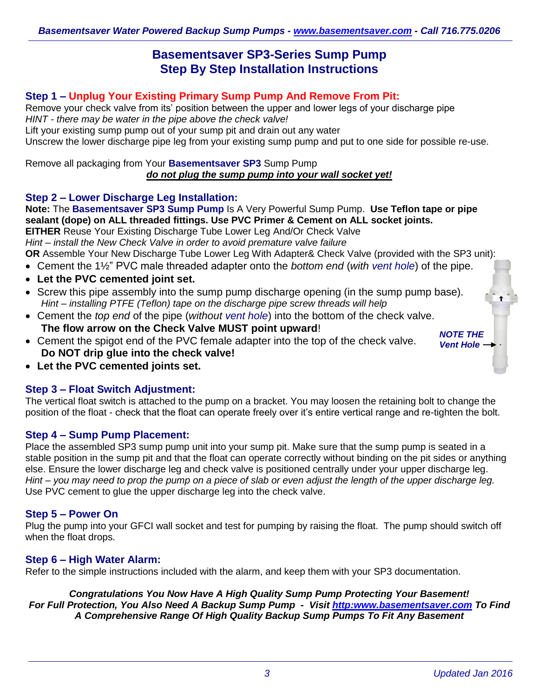# **Basementsaver SP3-Series Sump Pump Step By Step Installation Instructions**

## **Step 1 – Unplug Your Existing Primary Sump Pump And Remove From Pit:**

Remove your check valve from its' position between the upper and lower legs of your discharge pipe *HINT - there may be water in the pipe above the check valve!*

Lift your existing sump pump out of your sump pit and drain out any water

Unscrew the lower discharge pipe leg from your existing sump pump and put to one side for possible re-use.

Remove all packaging from Your **Basementsaver SP3** Sump Pump *do not plug the sump pump into your wall socket yet!*

### **Step 2 – Lower Discharge Leg Installation:**

**Note:** The **Basementsaver SP3 Sump Pump** Is A Very Powerful Sump Pump. **Use Teflon tape or pipe sealant (dope) on ALL threaded fittings. Use PVC Primer & Cement on ALL socket joints.**

**EITHER** Reuse Your Existing Discharge Tube Lower Leg And/Or Check Valve

*Hint – install the New Check Valve in order to avoid premature valve failure*

**OR** Assemble Your New Discharge Tube Lower Leg With Adapter& Check Valve (provided with the SP3 unit):

- Cement the 1½" PVC male threaded adapter onto the *bottom end* (*with vent hole*) of the pipe.
- **Let the PVC cemented joint set.**
- Screw this pipe assembly into the sump pump discharge opening (in the sump pump base). *Hint – installing PTFE (Teflon) tape on the discharge pipe screw threads will help*
- Cement the *top end* of the pipe (*without vent hole*) into the bottom of the check valve. **The flow arrow on the Check Valve MUST point upward**!
- Cement the spigot end of the PVC female adapter into the top of the check valve. **Do NOT drip glue into the check valve!**

*NOTE THE Vent Hole*

 $\ddot{\phantom{a}}$ 

**Let the PVC cemented joints set.**

#### **Step 3 – Float Switch Adjustment:**

The vertical float switch is attached to the pump on a bracket. You may loosen the retaining bolt to change the position of the float - check that the float can operate freely over it's entire vertical range and re-tighten the bolt.

#### **Step 4 – Sump Pump Placement:**

Place the assembled SP3 sump pump unit into your sump pit. Make sure that the sump pump is seated in a stable position in the sump pit and that the float can operate correctly without binding on the pit sides or anything else. Ensure the lower discharge leg and check valve is positioned centrally under your upper discharge leg. *Hint – you may need to prop the pump on a piece of slab or even adjust the length of the upper discharge leg.* Use PVC cement to glue the upper discharge leg into the check valve.

#### **Step 5 – Power On**

Plug the pump into your GFCI wall socket and test for pumping by raising the float. The pump should switch off when the float drops.

#### **Step 6 – High Water Alarm:**

Refer to the simple instructions included with the alarm, and keep them with your SP3 documentation.

*Congratulations You Now Have A High Quality Sump Pump Protecting Your Basement! For Full Protection, You Also Need A Backup Sump Pump - Visit [http:www.basementsaver.com](http://www.basementsaver.com/) To Find A Comprehensive Range Of High Quality Backup Sump Pumps To Fit Any Basement*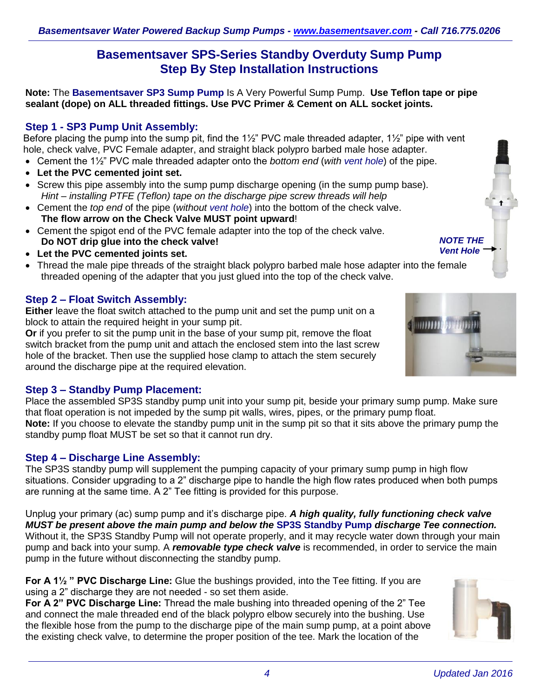# **Basementsaver SPS-Series Standby Overduty Sump Pump Step By Step Installation Instructions**

**Note:** The **Basementsaver SP3 Sump Pump** Is A Very Powerful Sump Pump. **Use Teflon tape or pipe sealant (dope) on ALL threaded fittings. Use PVC Primer & Cement on ALL socket joints.**

# **Step 1 - SP3 Pump Unit Assembly:**

Before placing the pump into the sump pit, find the 1½" PVC male threaded adapter, 1½" pipe with vent hole, check valve, PVC Female adapter, and straight black polypro barbed male hose adapter.

- Cement the 1½" PVC male threaded adapter onto the *bottom end* (*with vent hole*) of the pipe.
- **Let the PVC cemented joint set.**
- Screw this pipe assembly into the sump pump discharge opening (in the sump pump base). *Hint – installing PTFE (Teflon) tape on the discharge pipe screw threads will help*
- Cement the *top end* of the pipe (*without vent hole*) into the bottom of the check valve. **The flow arrow on the Check Valve MUST point upward**!
- Cement the spigot end of the PVC female adapter into the top of the check valve. **Do NOT drip glue into the check valve!**
- **Let the PVC cemented joints set.**
- Thread the male pipe threads of the straight black polypro barbed male hose adapter into the female threaded opening of the adapter that you just glued into the top of the check valve.

## **Step 2 – Float Switch Assembly:**

**Either** leave the float switch attached to the pump unit and set the pump unit on a block to attain the required height in your sump pit.

**Or** if you prefer to sit the pump unit in the base of your sump pit, remove the float switch bracket from the pump unit and attach the enclosed stem into the last screw hole of the bracket. Then use the supplied hose clamp to attach the stem securely around the discharge pipe at the required elevation.

## **Step 3 – Standby Pump Placement:**

Place the assembled SP3S standby pump unit into your sump pit, beside your primary sump pump. Make sure that float operation is not impeded by the sump pit walls, wires, pipes, or the primary pump float. **Note:** If you choose to elevate the standby pump unit in the sump pit so that it sits above the primary pump the standby pump float MUST be set so that it cannot run dry.

## **Step 4 – Discharge Line Assembly:**

The SP3S standby pump will supplement the pumping capacity of your primary sump pump in high flow situations. Consider upgrading to a 2" discharge pipe to handle the high flow rates produced when both pumps are running at the same time. A 2" Tee fitting is provided for this purpose.

Unplug your primary (ac) sump pump and it's discharge pipe. *A high quality, fully functioning check valve MUST be present above the main pump and below the* **SP3S Standby Pump** *discharge Tee connection.* Without it, the SP3S Standby Pump will not operate properly, and it may recycle water down through your main pump and back into your sump. A *removable type check valve* is recommended, in order to service the main pump in the future without disconnecting the standby pump.

**For A 1½ " PVC Discharge Line:** Glue the bushings provided, into the Tee fitting. If you are using a 2" discharge they are not needed - so set them aside.

**For A 2" PVC Discharge Line:** Thread the male bushing into threaded opening of the 2" Tee and connect the male threaded end of the black polypro elbow securely into the bushing. Use the flexible hose from the pump to the discharge pipe of the main sump pump, at a point above the existing check valve, to determine the proper position of the tee. Mark the location of the







 $11111111$ 

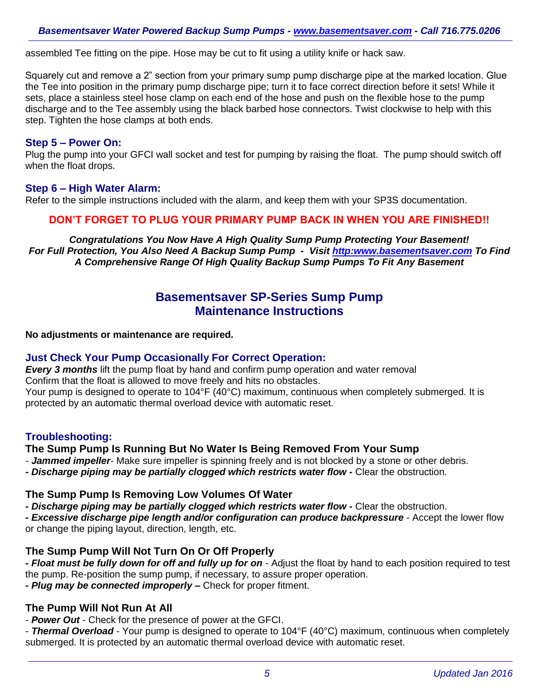assembled Tee fitting on the pipe. Hose may be cut to fit using a utility knife or hack saw.

Squarely cut and remove a 2" section from your primary sump pump discharge pipe at the marked location. Glue the Tee into position in the primary pump discharge pipe; turn it to face correct direction before it sets! While it sets, place a stainless steel hose clamp on each end of the hose and push on the flexible hose to the pump discharge and to the Tee assembly using the black barbed hose connectors. Twist clockwise to help with this step. Tighten the hose clamps at both ends.

#### **Step 5 – Power On:**

Plug the pump into your GFCI wall socket and test for pumping by raising the float. The pump should switch off when the float drops.

#### **Step 6 – High Water Alarm:**

Refer to the simple instructions included with the alarm, and keep them with your SP3S documentation.

### **DON'T FORGET TO PLUG YOUR PRIMARY PUMP BACK IN WHEN YOU ARE FINISHED!!**

*Congratulations You Now Have A High Quality Sump Pump Protecting Your Basement! For Full Protection, You Also Need A Backup Sump Pump - Visit [http:www.basementsaver.com](http://www.basementsaver.com/) To Find A Comprehensive Range Of High Quality Backup Sump Pumps To Fit Any Basement*

# **Basementsaver SP-Series Sump Pump Maintenance Instructions**

**No adjustments or maintenance are required.**

#### **Just Check Your Pump Occasionally For Correct Operation:**

*Every 3 months* lift the pump float by hand and confirm pump operation and water removal Confirm that the float is allowed to move freely and hits no obstacles.

Your pump is designed to operate to 104°F (40°C) maximum, continuous when completely submerged. It is protected by an automatic thermal overload device with automatic reset.

## **Troubleshooting:**

#### **The Sump Pump Is Running But No Water Is Being Removed From Your Sump**

- *Jammed impeller*- Make sure impeller is spinning freely and is not blocked by a stone or other debris.

*- Discharge piping may be partially clogged which restricts water flow -* Clear the obstruction.

#### **The Sump Pump Is Removing Low Volumes Of Water**

*- Discharge piping may be partially clogged which restricts water flow -* Clear the obstruction.

*- Excessive discharge pipe length and/or configuration can produce backpressure* - Accept the lower flow or change the piping layout, direction, length, etc.

## **The Sump Pump Will Not Turn On Or Off Properly**

*- Float must be fully down for off and fully up for on* - Adjust the float by hand to each position required to test the pump. Re-position the sump pump, if necessary, to assure proper operation.

*- Plug may be connected improperly –* Check for proper fitment.

### **The Pump Will Not Run At All**

- *Power Out* - Check for the presence of power at the GFCI.

- *Thermal Overload* - Your pump is designed to operate to 104°F (40°C) maximum, continuous when completely submerged. It is protected by an automatic thermal overload device with automatic reset.